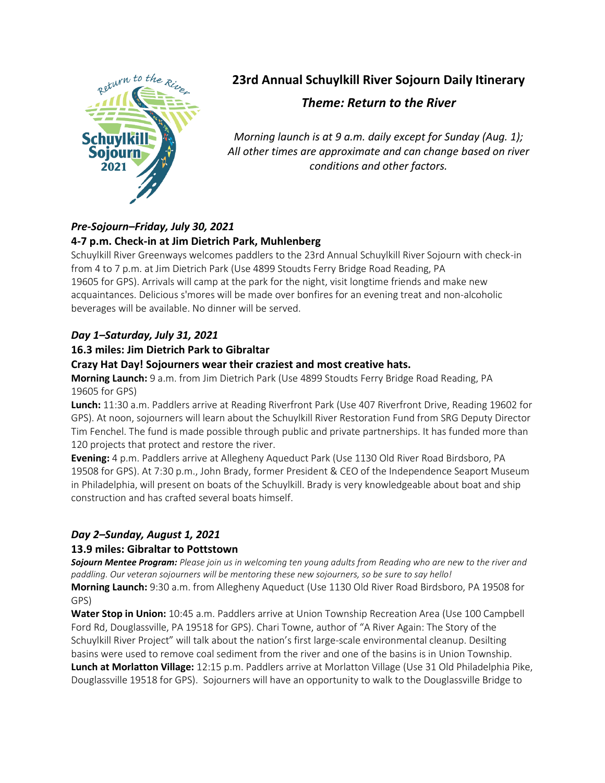

# **23rd Annual Schuylkill River Sojourn Daily Itinerary**

## *Theme: Return to the River*

*Morning launch is at 9 a.m. daily except for Sunday (Aug. 1); All other times are approximate and can change based on river conditions and other factors.*

## *Pre-Sojourn–Friday, July 30, 2021*

## **4-7 p.m. Check-in at Jim Dietrich Park, Muhlenberg**

Schuylkill River Greenways welcomes paddlers to the 23rd Annual Schuylkill River Sojourn with check-in from 4 to 7 p.m. at Jim Dietrich Park (Use 4899 Stoudts Ferry Bridge Road Reading, PA 19605 for GPS). Arrivals will camp at the park for the night, visit longtime friends and make new acquaintances. Delicious s'mores will be made over bonfires for an evening treat and non-alcoholic beverages will be available. No dinner will be served.

## *Day 1–Saturday, July 31, 2021*

## **16.3 miles: Jim Dietrich Park to Gibraltar**

## **Crazy Hat Day! Sojourners wear their craziest and most creative hats.**

**Morning Launch:** 9 a.m. from Jim Dietrich Park (Use 4899 Stoudts Ferry Bridge Road Reading, PA 19605 for GPS)

**Lunch:** 11:30 a.m. Paddlers arrive at Reading Riverfront Park (Use 407 Riverfront Drive, Reading 19602 for GPS). At noon, sojourners will learn about the Schuylkill River Restoration Fund from SRG Deputy Director Tim Fenchel. The fund is made possible through public and private partnerships. It has funded more than 120 projects that protect and restore the river.

**Evening:** 4 p.m. Paddlers arrive at Allegheny Aqueduct Park (Use 1130 Old River Road Birdsboro, PA 19508 for GPS). At 7:30 p.m., John Brady, former President & CEO of the Independence Seaport Museum in Philadelphia, will present on boats of the Schuylkill. Brady is very knowledgeable about boat and ship construction and has crafted several boats himself.

## *Day 2–Sunday, August 1, 2021*

#### **13.9 miles: Gibraltar to Pottstown**

*Sojourn Mentee Program: Please join us in welcoming ten young adults from Reading who are new to the river and paddling. Our veteran sojourners will be mentoring these new sojourners, so be sure to say hello!*

**Morning Launch:** 9:30 a.m. from Allegheny Aqueduct (Use 1130 Old River Road Birdsboro, PA 19508 for GPS)

**Water Stop in Union:** 10:45 a.m. Paddlers arrive at Union Township Recreation Area (Use 100 Campbell Ford Rd, Douglassville, PA 19518 for GPS). Chari Towne, author of "A River Again: The Story of the Schuylkill River Project" will talk about the nation's first large-scale environmental cleanup. Desilting basins were used to remove coal sediment from the river and one of the basins is in Union Township. **Lunch at Morlatton Village:** 12:15 p.m. Paddlers arrive at Morlatton Village (Use 31 Old Philadelphia Pike, Douglassville 19518 for GPS). Sojourners will have an opportunity to walk to the Douglassville Bridge to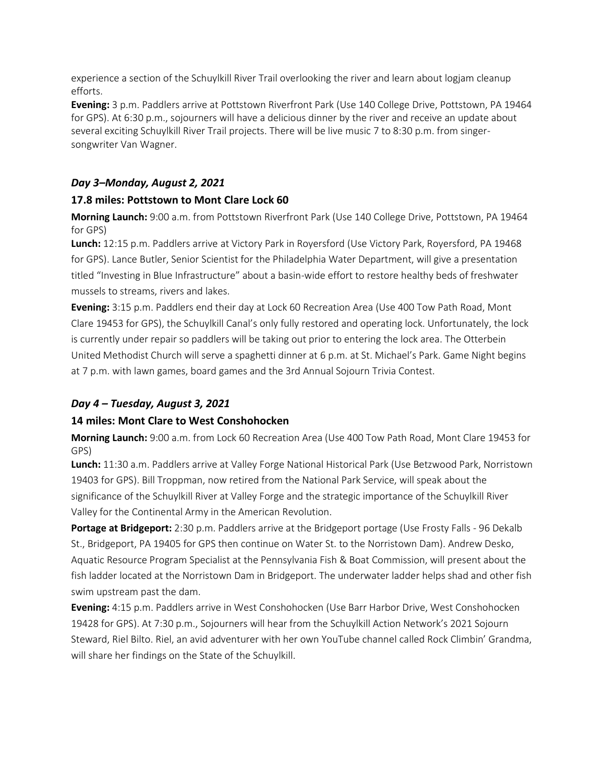experience a section of the Schuylkill River Trail overlooking the river and learn about logjam cleanup efforts.

**Evening:** 3 p.m. Paddlers arrive at Pottstown Riverfront Park (Use 140 College Drive, Pottstown, PA 19464 for GPS). At 6:30 p.m., sojourners will have a delicious dinner by the river and receive an update about several exciting Schuylkill River Trail projects. There will be live music 7 to 8:30 p.m. from singersongwriter Van Wagner.

## *Day 3–Monday, August 2, 2021*

## **17.8 miles: Pottstown to Mont Clare Lock 60**

**Morning Launch:** 9:00 a.m. from Pottstown Riverfront Park (Use 140 College Drive, Pottstown, PA 19464 for GPS)

**Lunch:** 12:15 p.m. Paddlers arrive at Victory Park in Royersford (Use Victory Park, Royersford, PA 19468 for GPS). Lance Butler, Senior Scientist for the Philadelphia Water Department, will give a presentation titled "Investing in Blue Infrastructure" about a basin-wide effort to restore healthy beds of freshwater mussels to streams, rivers and lakes.

**Evening:** 3:15 p.m. Paddlers end their day at Lock 60 Recreation Area (Use 400 Tow Path Road, Mont Clare 19453 for GPS), the Schuylkill Canal's only fully restored and operating lock. Unfortunately, the lock is currently under repair so paddlers will be taking out prior to entering the lock area. The Otterbein United Methodist Church will serve a spaghetti dinner at 6 p.m. at St. Michael's Park. Game Night begins at 7 p.m. with lawn games, board games and the 3rd Annual Sojourn Trivia Contest.

## *Day 4 – Tuesday, August 3, 2021*

## **14 miles: Mont Clare to West Conshohocken**

**Morning Launch:** 9:00 a.m. from Lock 60 Recreation Area (Use 400 Tow Path Road, Mont Clare 19453 for GPS)

**Lunch:** 11:30 a.m. Paddlers arrive at Valley Forge National Historical Park (Use Betzwood Park, Norristown 19403 for GPS). Bill Troppman, now retired from the National Park Service, will speak about the significance of the Schuylkill River at Valley Forge and the strategic importance of the Schuylkill River Valley for the Continental Army in the American Revolution.

**Portage at Bridgeport:** 2:30 p.m. Paddlers arrive at the Bridgeport portage (Use Frosty Falls - 96 Dekalb St., Bridgeport, PA 19405 for GPS then continue on Water St. to the Norristown Dam). Andrew Desko, Aquatic Resource Program Specialist at the Pennsylvania Fish & Boat Commission, will present about the fish ladder located at the Norristown Dam in Bridgeport. The underwater ladder helps shad and other fish swim upstream past the dam.

**Evening:** 4:15 p.m. Paddlers arrive in West Conshohocken (Use Barr Harbor Drive, West Conshohocken 19428 for GPS). At 7:30 p.m., Sojourners will hear from the Schuylkill Action Network's 2021 Sojourn Steward, Riel Bilto. Riel, an avid adventurer with her own YouTube channel called Rock Climbin' Grandma, will share her findings on the State of the Schuylkill.